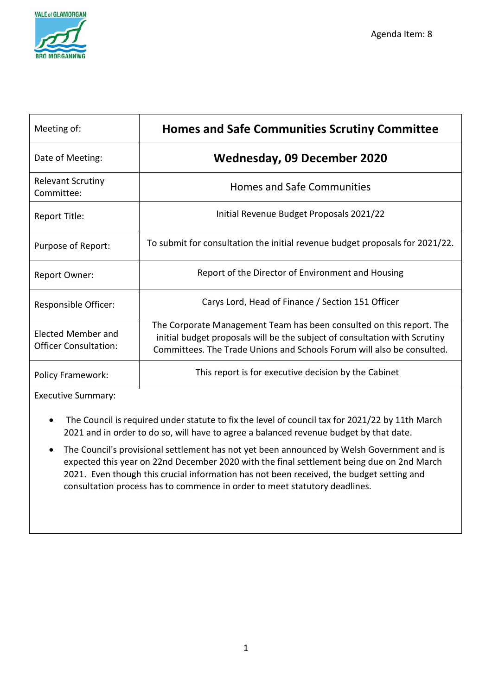

| Meeting of:                                 | <b>Homes and Safe Communities Scrutiny Committee</b>                                                                                                                                                                         |  |  |  |  |  |
|---------------------------------------------|------------------------------------------------------------------------------------------------------------------------------------------------------------------------------------------------------------------------------|--|--|--|--|--|
| Date of Meeting:                            | <b>Wednesday, 09 December 2020</b>                                                                                                                                                                                           |  |  |  |  |  |
| <b>Relevant Scrutiny</b><br>Committee:      | <b>Homes and Safe Communities</b>                                                                                                                                                                                            |  |  |  |  |  |
| Report Title:                               | Initial Revenue Budget Proposals 2021/22                                                                                                                                                                                     |  |  |  |  |  |
| Purpose of Report:                          | To submit for consultation the initial revenue budget proposals for 2021/22.                                                                                                                                                 |  |  |  |  |  |
| <b>Report Owner:</b>                        | Report of the Director of Environment and Housing                                                                                                                                                                            |  |  |  |  |  |
| Responsible Officer:                        | Carys Lord, Head of Finance / Section 151 Officer                                                                                                                                                                            |  |  |  |  |  |
| Elected Member and<br>Officer Consultation: | The Corporate Management Team has been consulted on this report. The<br>initial budget proposals will be the subject of consultation with Scrutiny<br>Committees. The Trade Unions and Schools Forum will also be consulted. |  |  |  |  |  |
| <b>Policy Framework:</b>                    | This report is for executive decision by the Cabinet                                                                                                                                                                         |  |  |  |  |  |

Executive Summary:

- The Council is required under statute to fix the level of council tax for 2021/22 by 11th March 2021 and in order to do so, will have to agree a balanced revenue budget by that date.
- The Council's provisional settlement has not yet been announced by Welsh Government and is expected this year on 22nd December 2020 with the final settlement being due on 2nd March 2021. Even though this crucial information has not been received, the budget setting and consultation process has to commence in order to meet statutory deadlines.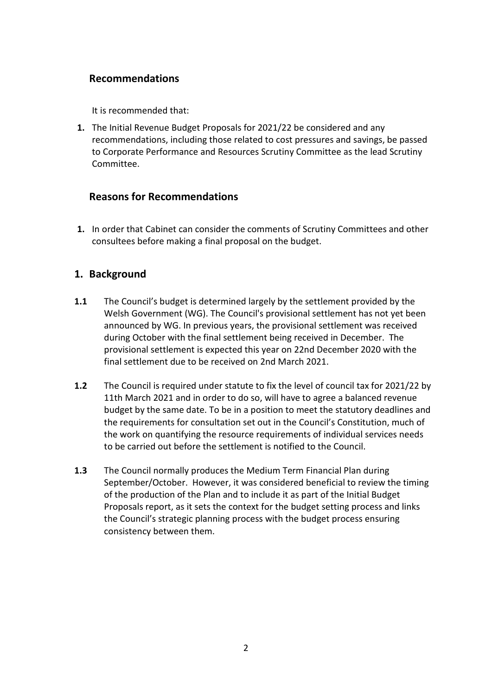## **Recommendations**

It is recommended that:

**1.** The Initial Revenue Budget Proposals for 2021/22 be considered and any recommendations, including those related to cost pressures and savings, be passed to Corporate Performance and Resources Scrutiny Committee as the lead Scrutiny Committee.

#### **Reasons for Recommendations**

**1.** In order that Cabinet can consider the comments of Scrutiny Committees and other consultees before making a final proposal on the budget.

### **1. Background**

- **1.1** The Council's budget is determined largely by the settlement provided by the Welsh Government (WG). The Council's provisional settlement has not yet been announced by WG. In previous years, the provisional settlement was received during October with the final settlement being received in December. The provisional settlement is expected this year on 22nd December 2020 with the final settlement due to be received on 2nd March 2021.
- **1.2** The Council is required under statute to fix the level of council tax for 2021/22 by 11th March 2021 and in order to do so, will have to agree a balanced revenue budget by the same date. To be in a position to meet the statutory deadlines and the requirements for consultation set out in the Council's Constitution, much of the work on quantifying the resource requirements of individual services needs to be carried out before the settlement is notified to the Council.
- **1.3** The Council normally produces the Medium Term Financial Plan during September/October. However, it was considered beneficial to review the timing of the production of the Plan and to include it as part of the Initial Budget Proposals report, as it sets the context for the budget setting process and links the Council's strategic planning process with the budget process ensuring consistency between them.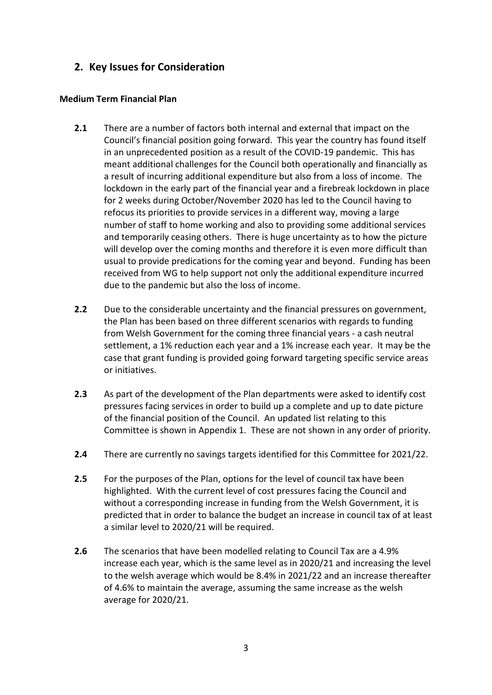## **2. Key Issues for Consideration**

#### **Medium Term Financial Plan**

- **2.1** There are a number of factors both internal and external that impact on the Council's financial position going forward. This year the country has found itself in an unprecedented position as a result of the COVID-19 pandemic. This has meant additional challenges for the Council both operationally and financially as a result of incurring additional expenditure but also from a loss of income. The lockdown in the early part of the financial year and a firebreak lockdown in place for 2 weeks during October/November 2020 has led to the Council having to refocus its priorities to provide services in a different way, moving a large number of staff to home working and also to providing some additional services and temporarily ceasing others. There is huge uncertainty as to how the picture will develop over the coming months and therefore it is even more difficult than usual to provide predications for the coming year and beyond. Funding has been received from WG to help support not only the additional expenditure incurred due to the pandemic but also the loss of income.
- **2.2** Due to the considerable uncertainty and the financial pressures on government, the Plan has been based on three different scenarios with regards to funding from Welsh Government for the coming three financial years - a cash neutral settlement, a 1% reduction each year and a 1% increase each year. It may be the case that grant funding is provided going forward targeting specific service areas or initiatives.
- **2.3** As part of the development of the Plan departments were asked to identify cost pressures facing services in order to build up a complete and up to date picture of the financial position of the Council. An updated list relating to this Committee is shown in Appendix 1. These are not shown in any order of priority.
- **2.4** There are currently no savings targets identified for this Committee for 2021/22.
- **2.5** For the purposes of the Plan, options for the level of council tax have been highlighted. With the current level of cost pressures facing the Council and without a corresponding increase in funding from the Welsh Government, it is predicted that in order to balance the budget an increase in council tax of at least a similar level to 2020/21 will be required.
- **2.6** The scenarios that have been modelled relating to Council Tax are a 4.9% increase each year, which is the same level as in 2020/21 and increasing the level to the welsh average which would be 8.4% in 2021/22 and an increase thereafter of 4.6% to maintain the average, assuming the same increase as the welsh average for 2020/21.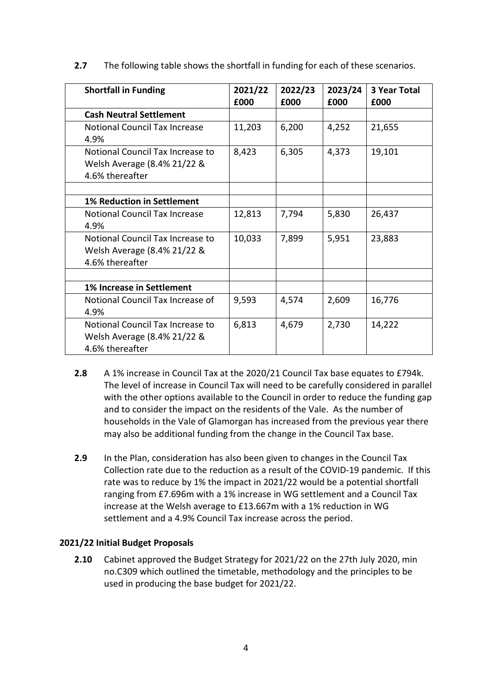| <b>Shortfall in Funding</b>                                                        | 2021/22<br>£000 | 2022/23<br>£000 | 2023/24<br>£000 | <b>3 Year Total</b><br>£000 |
|------------------------------------------------------------------------------------|-----------------|-----------------|-----------------|-----------------------------|
| <b>Cash Neutral Settlement</b>                                                     |                 |                 |                 |                             |
| <b>Notional Council Tax Increase</b><br>4.9%                                       | 11,203          | 6,200           | 4,252           | 21,655                      |
| Notional Council Tax Increase to<br>Welsh Average (8.4% 21/22 &<br>4.6% thereafter | 8,423           | 6,305           | 4,373           | 19,101                      |
|                                                                                    |                 |                 |                 |                             |
| <b>1% Reduction in Settlement</b>                                                  |                 |                 |                 |                             |
| <b>Notional Council Tax Increase</b><br>4.9%                                       | 12,813          | 7,794           | 5,830           | 26,437                      |
| Notional Council Tax Increase to<br>Welsh Average (8.4% 21/22 &<br>4.6% thereafter | 10,033          | 7,899           | 5,951           | 23,883                      |
|                                                                                    |                 |                 |                 |                             |
| 1% Increase in Settlement                                                          |                 |                 |                 |                             |
| Notional Council Tax Increase of<br>4.9%                                           | 9,593           | 4,574           | 2,609           | 16,776                      |
| Notional Council Tax Increase to<br>Welsh Average (8.4% 21/22 &<br>4.6% thereafter | 6,813           | 4,679           | 2,730           | 14,222                      |

**2.7** The following table shows the shortfall in funding for each of these scenarios.

- **2.8** A 1% increase in Council Tax at the 2020/21 Council Tax base equates to £794k. The level of increase in Council Tax will need to be carefully considered in parallel with the other options available to the Council in order to reduce the funding gap and to consider the impact on the residents of the Vale. As the number of households in the Vale of Glamorgan has increased from the previous year there may also be additional funding from the change in the Council Tax base.
- **2.9** In the Plan, consideration has also been given to changes in the Council Tax Collection rate due to the reduction as a result of the COVID-19 pandemic. If this rate was to reduce by 1% the impact in 2021/22 would be a potential shortfall ranging from £7.696m with a 1% increase in WG settlement and a Council Tax increase at the Welsh average to £13.667m with a 1% reduction in WG settlement and a 4.9% Council Tax increase across the period.

#### **2021/22 Initial Budget Proposals**

**2.10** Cabinet approved the Budget Strategy for 2021/22 on the 27th July 2020, min no.C309 which outlined the timetable, methodology and the principles to be used in producing the base budget for 2021/22.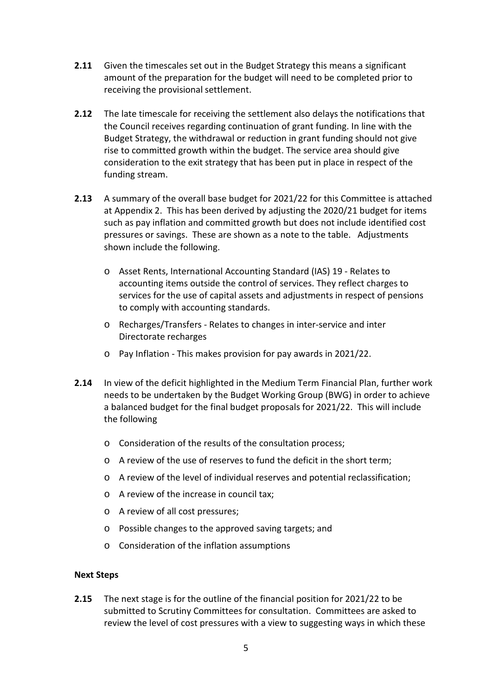- **2.11** Given the timescales set out in the Budget Strategy this means a significant amount of the preparation for the budget will need to be completed prior to receiving the provisional settlement.
- **2.12** The late timescale for receiving the settlement also delays the notifications that the Council receives regarding continuation of grant funding. In line with the Budget Strategy, the withdrawal or reduction in grant funding should not give rise to committed growth within the budget. The service area should give consideration to the exit strategy that has been put in place in respect of the funding stream.
- **2.13** A summary of the overall base budget for 2021/22 for this Committee is attached at Appendix 2. This has been derived by adjusting the 2020/21 budget for items such as pay inflation and committed growth but does not include identified cost pressures or savings. These are shown as a note to the table. Adjustments shown include the following.
	- o Asset Rents, International Accounting Standard (IAS) 19 Relates to accounting items outside the control of services. They reflect charges to services for the use of capital assets and adjustments in respect of pensions to comply with accounting standards.
	- o Recharges/Transfers Relates to changes in inter-service and inter Directorate recharges
	- o Pay Inflation This makes provision for pay awards in 2021/22.
- **2.14** In view of the deficit highlighted in the Medium Term Financial Plan, further work needs to be undertaken by the Budget Working Group (BWG) in order to achieve a balanced budget for the final budget proposals for 2021/22. This will include the following
	- o Consideration of the results of the consultation process;
	- o A review of the use of reserves to fund the deficit in the short term;
	- o A review of the level of individual reserves and potential reclassification;
	- o A review of the increase in council tax;
	- o A review of all cost pressures;
	- o Possible changes to the approved saving targets; and
	- o Consideration of the inflation assumptions

#### **Next Steps**

**2.15** The next stage is for the outline of the financial position for 2021/22 to be submitted to Scrutiny Committees for consultation. Committees are asked to review the level of cost pressures with a view to suggesting ways in which these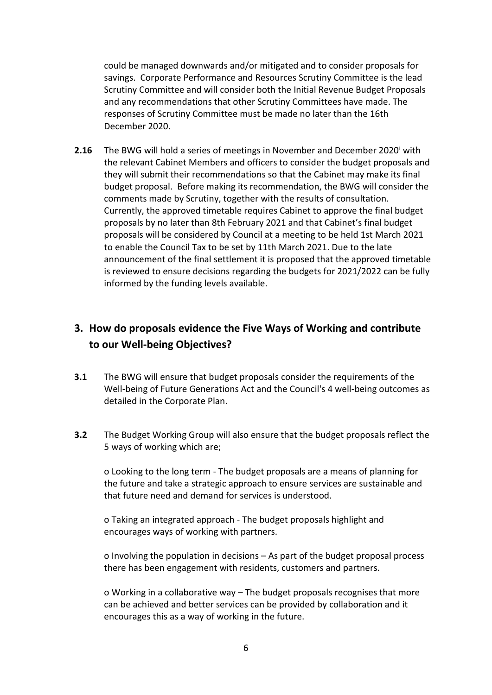could be managed downwards and/or mitigated and to consider proposals for savings. Corporate Performance and Resources Scrutiny Committee is the lead Scrutiny Committee and will consider both the Initial Revenue Budget Proposals and any recommendations that other Scrutiny Committees have made. The responses of Scrutiny Committee must be made no later than the 16th December 2020.

**2.16** The BWG w[i](#page-7-0)ll hold a series of meetings in November and December 2020<sup>i</sup> with the relevant Cabinet Members and officers to consider the budget proposals and they will submit their recommendations so that the Cabinet may make its final budget proposal. Before making its recommendation, the BWG will consider the comments made by Scrutiny, together with the results of consultation. Currently, the approved timetable requires Cabinet to approve the final budget proposals by no later than 8th February 2021 and that Cabinet's final budget proposals will be considered by Council at a meeting to be held 1st March 2021 to enable the Council Tax to be set by 11th March 2021. Due to the late announcement of the final settlement it is proposed that the approved timetable is reviewed to ensure decisions regarding the budgets for 2021/2022 can be fully informed by the funding levels available.

# **3. How do proposals evidence the Five Ways of Working and contribute to our Well-being Objectives?**

- **3.1** The BWG will ensure that budget proposals consider the requirements of the Well-being of Future Generations Act and the Council's 4 well-being outcomes as detailed in the Corporate Plan.
- **3.2** The Budget Working Group will also ensure that the budget proposals reflect the 5 ways of working which are;

o Looking to the long term - The budget proposals are a means of planning for the future and take a strategic approach to ensure services are sustainable and that future need and demand for services is understood.

o Taking an integrated approach - The budget proposals highlight and encourages ways of working with partners.

o Involving the population in decisions – As part of the budget proposal process there has been engagement with residents, customers and partners.

o Working in a collaborative way – The budget proposals recognises that more can be achieved and better services can be provided by collaboration and it encourages this as a way of working in the future.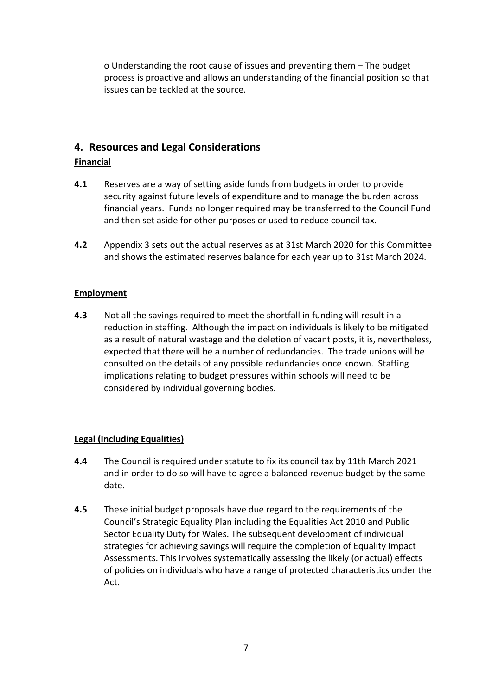o Understanding the root cause of issues and preventing them – The budget process is proactive and allows an understanding of the financial position so that issues can be tackled at the source.

#### **4. Resources and Legal Considerations**

#### **Financial**

- **4.1** Reserves are a way of setting aside funds from budgets in order to provide security against future levels of expenditure and to manage the burden across financial years. Funds no longer required may be transferred to the Council Fund and then set aside for other purposes or used to reduce council tax.
- **4.2** Appendix 3 sets out the actual reserves as at 31st March 2020 for this Committee and shows the estimated reserves balance for each year up to 31st March 2024.

#### **Employment**

**4.3** Not all the savings required to meet the shortfall in funding will result in a reduction in staffing. Although the impact on individuals is likely to be mitigated as a result of natural wastage and the deletion of vacant posts, it is, nevertheless, expected that there will be a number of redundancies. The trade unions will be consulted on the details of any possible redundancies once known. Staffing implications relating to budget pressures within schools will need to be considered by individual governing bodies.

#### **Legal (Including Equalities)**

- **4.4** The Council is required under statute to fix its council tax by 11th March 2021 and in order to do so will have to agree a balanced revenue budget by the same date.
- **4.5** These initial budget proposals have due regard to the requirements of the Council's Strategic Equality Plan including the Equalities Act 2010 and Public Sector Equality Duty for Wales. The subsequent development of individual strategies for achieving savings will require the completion of Equality Impact Assessments. This involves systematically assessing the likely (or actual) effects of policies on individuals who have a range of protected characteristics under the Act.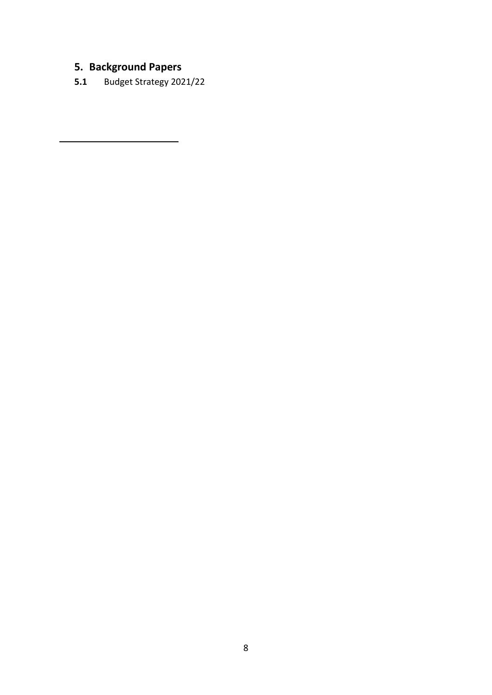# **5. Background Papers**

<span id="page-7-0"></span><u>.</u>

**5.1** Budget Strategy 2021/22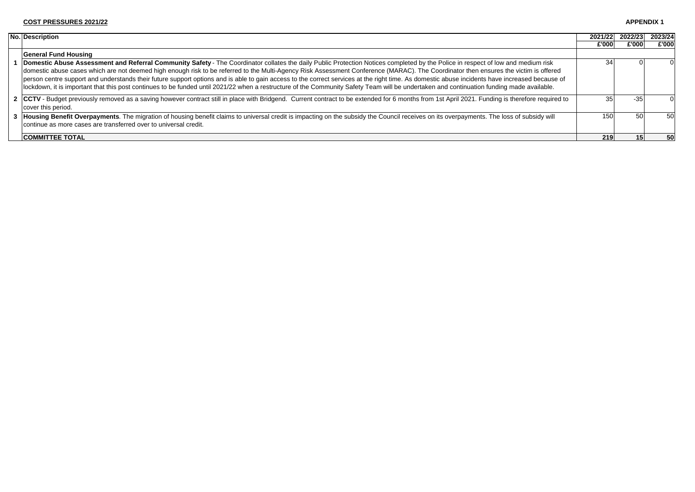- 1 **Domestic Abuse Assessment and Referral Community Safety** The Coordinator collates the daily Public Protection Notices completed by the Police in respect of low and me domestic abuse cases which are not deemed high enough risk to be referred to the Multi-Agency Risk Assessment Conference (MARAC). The Coordinator then ensures the vict person centre support and understands their future support options and is able to gain access to the correct services at the right time. As domestic abuse incidents have increase lockdown, it is important that this post continues to be funded until 2021/22 when a restructure of the Community Safety Team will be undertaken and continuation funding made
- 2 **CCTV** Budget previously removed as a saving however contract still in place with Bridgend. Current contract to be extended for 6 months from 1st April 2021. Funding is therefore 1 cover this period.

| <b>No. Description</b>                                                                                                                                                                                                                                                                                                                                                                                                                                                                                                                                                                                                                                                                                                                                                  | 2021/22          | 2022/23 | 2023/24 |
|-------------------------------------------------------------------------------------------------------------------------------------------------------------------------------------------------------------------------------------------------------------------------------------------------------------------------------------------------------------------------------------------------------------------------------------------------------------------------------------------------------------------------------------------------------------------------------------------------------------------------------------------------------------------------------------------------------------------------------------------------------------------------|------------------|---------|---------|
|                                                                                                                                                                                                                                                                                                                                                                                                                                                                                                                                                                                                                                                                                                                                                                         | £'000            | £'000   | £'000   |
| <b>General Fund Housing</b>                                                                                                                                                                                                                                                                                                                                                                                                                                                                                                                                                                                                                                                                                                                                             |                  |         |         |
| Domestic Abuse Assessment and Referral Community Safety - The Coordinator collates the daily Public Protection Notices completed by the Police in respect of low and medium risk<br>domestic abuse cases which are not deemed high enough risk to be referred to the Multi-Agency Risk Assessment Conference (MARAC). The Coordinator then ensures the victim is offered<br>person centre support and understands their future support options and is able to gain access to the correct services at the right time. As domestic abuse incidents have increased because of<br>lockdown, it is important that this post continues to be funded until 2021/22 when a restructure of the Community Safety Team will be undertaken and continuation funding made available. | 34               |         |         |
| 2 CCTV - Budget previously removed as a saving however contract still in place with Bridgend. Current contract to be extended for 6 months from 1st April 2021. Funding is therefore required to<br>cover this period.                                                                                                                                                                                                                                                                                                                                                                                                                                                                                                                                                  | 35I              | -35     |         |
| 3  Housing Benefit Overpayments. The migration of housing benefit claims to universal credit is impacting on the subsidy the Council receives on its overpayments. The loss of subsidy will<br>continue as more cases are transferred over to universal credit.                                                                                                                                                                                                                                                                                                                                                                                                                                                                                                         | 150 <sup>1</sup> | 50      | 50      |
| <b>COMMITTEE TOTAL</b>                                                                                                                                                                                                                                                                                                                                                                                                                                                                                                                                                                                                                                                                                                                                                  | <b>219</b>       |         | 50      |

**COMMITTEE TOTAL**

#### **APPENDIX 1**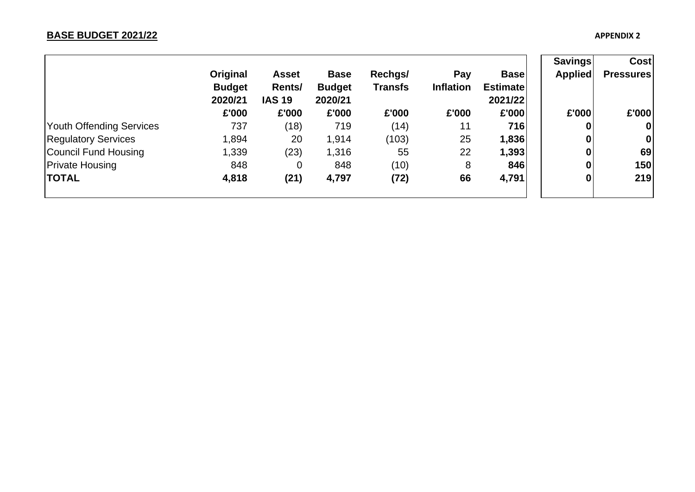|                            |               |               |               |                |                  |                 | <b>Savings</b>   | Cost             |
|----------------------------|---------------|---------------|---------------|----------------|------------------|-----------------|------------------|------------------|
|                            | Original      | <b>Asset</b>  | <b>Base</b>   | Rechgs/        | Pay              | <b>Base</b>     | <b>Applied</b>   | <b>Pressures</b> |
|                            | <b>Budget</b> | Rents/        | <b>Budget</b> | <b>Transfs</b> | <b>Inflation</b> | <b>Estimate</b> |                  |                  |
|                            | 2020/21       | <b>IAS 19</b> | 2020/21       |                |                  | 2021/22         |                  |                  |
|                            | £'000         | £'000         | £'000         | £'000          | £'000            | £'000           | £'000            | £'000            |
| Youth Offending Services   | 737           | (18)          | 719           | (14)           | 11               | 716             | 0                | $\mathbf 0$      |
| <b>Regulatory Services</b> | 1,894         | 20            | 1,914         | (103)          | 25               | 1,836           | $\boldsymbol{0}$ | 0                |
| Council Fund Housing       | 1,339         | (23)          | 1,316         | 55             | 22               | 1,393           | $\boldsymbol{0}$ | 69               |
| <b>Private Housing</b>     | 848           | 0             | 848           | (10)           | 8                | 846             | $\boldsymbol{0}$ | 150              |
| <b>TOTAL</b>               | 4,818         | (21)          | 4,797         | (72)           | 66               | 4,791           | 0                | 219              |
|                            |               |               |               |                |                  |                 |                  |                  |